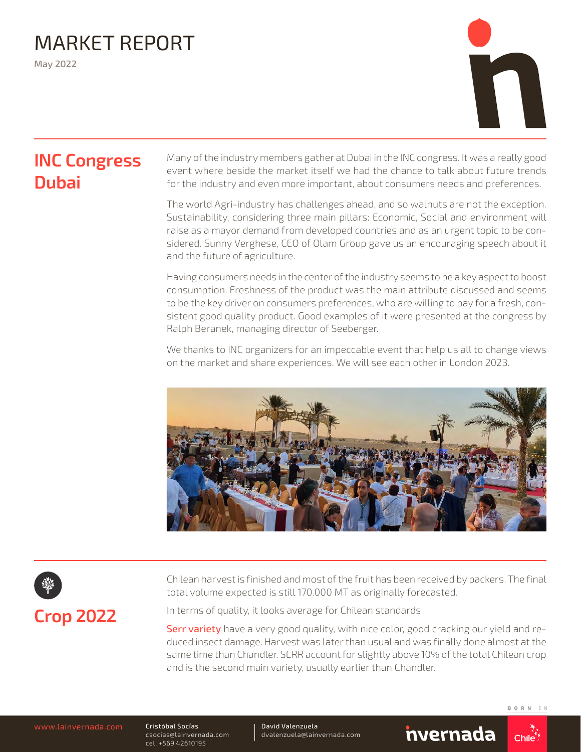## MARKET REPORT

May 2022



### **INC Congress Dubai**

Many of the industry members gather at Dubai in the INC congress. It was a really good event where beside the market itself we had the chance to talk about future trends for the industry and even more important, about consumers needs and preferences.

The world Agri-industry has challenges ahead, and so walnuts are not the exception. Sustainability, considering three main pillars: Economic, Social and environment will raise as a mayor demand from developed countries and as an urgent topic to be considered. Sunny Verghese, CEO of Olam Group gave us an encouraging speech about it and the future of agriculture.

Having consumers needs in the center of the industry seems to be a key aspect to boost consumption. Freshness of the product was the main attribute discussed and seems to be the key driver on consumers preferences, who are willing to pay for a fresh, consistent good quality product. Good examples of it were presented at the congress by Ralph Beranek, managing director of Seeberger.

We thanks to INC organizers for an impeccable event that help us all to change views on the market and share experiences. We will see each other in London 2023.



# **Crop 2022**

Chilean harvest is finished and most of the fruit has been received by packers. The final total volume expected is still 170.000 MT as originally forecasted.

In terms of quality, it looks average for Chilean standards.

Serr variety have a very good quality, with nice color, good cracking our yield and reduced insect damage. Harvest was later than usual and was finally done almost at the same time than Chandler. SERR account for slightly above 10% of the total Chilean crop and is the second main variety, usually earlier than Chandler.

Cristóbal Socías csocias@lainvernada.com cel. +569 42610195

David Valenzuela dvalenzuela@lainvernada.com

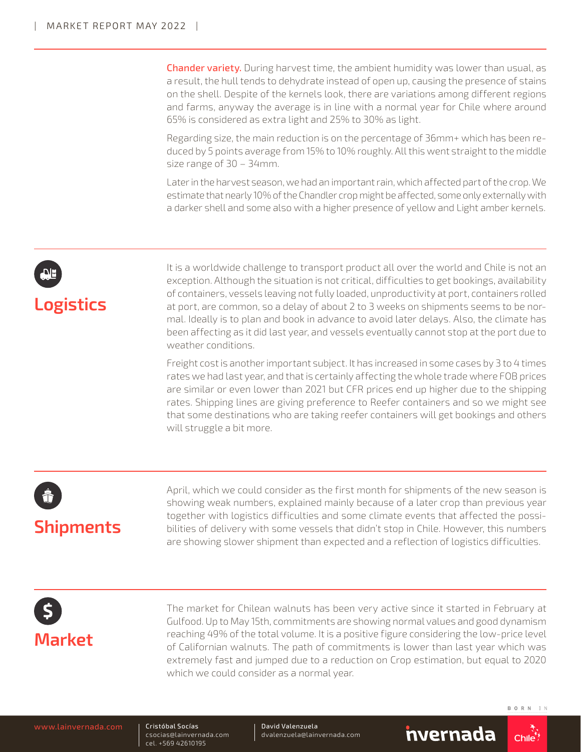**Chander variety.** During harvest time, the ambient humidity was lower than usual, as a result, the hull tends to dehydrate instead of open up, causing the presence of stains on the shell. Despite of the kernels look, there are variations among different regions and farms, anyway the average is in line with a normal year for Chile where around 65% is considered as extra light and 25% to 30% as light.

Regarding size, the main reduction is on the percentage of 36mm+ which has been reduced by 5 points average from 15% to 10% roughly. All this went straight to the middle size range of 30 – 34mm.

Later in the harvest season, we had an important rain, which affected part of the crop. We estimate that nearly 10% of the Chandler crop might be affected, some only externally with a darker shell and some also with a higher presence of yellow and Light amber kernels.



It is a worldwide challenge to transport product all over the world and Chile is not an exception. Although the situation is not critical, difficulties to get bookings, availability of containers, vessels leaving not fully loaded, unproductivity at port, containers rolled at port, are common, so a delay of about 2 to 3 weeks on shipments seems to be normal. Ideally is to plan and book in advance to avoid later delays. Also, the climate has been affecting as it did last year, and vessels eventually cannot stop at the port due to weather conditions.

Freight cost is another important subject. It has increased in some cases by 3 to 4 times rates we had last year, and that is certainly affecting the whole trade where FOB prices are similar or even lower than 2021 but CFR prices end up higher due to the shipping rates. Shipping lines are giving preference to Reefer containers and so we might see that some destinations who are taking reefer containers will get bookings and others will struggle a bit more.

# **Shipments**

April, which we could consider as the first month for shipments of the new season is showing weak numbers, explained mainly because of a later crop than previous year together with logistics difficulties and some climate events that affected the possibilities of delivery with some vessels that didn't stop in Chile. However, this numbers are showing slower shipment than expected and a reflection of logistics difficulties.

## **Market**

The market for Chilean walnuts has been very active since it started in February at Gulfood. Up to May 15th, commitments are showing normal values and good dynamism reaching 49% of the total volume. It is a positive figure considering the low-price level of Californian walnuts. The path of commitments is lower than last year which was extremely fast and jumped due to a reduction on Crop estimation, but equal to 2020 which we could consider as a normal year.

Cristóbal Socías csocias@lainvernada.com cel. +569 42610195

David Valenzuela dvalenzuela@lainvernada.com

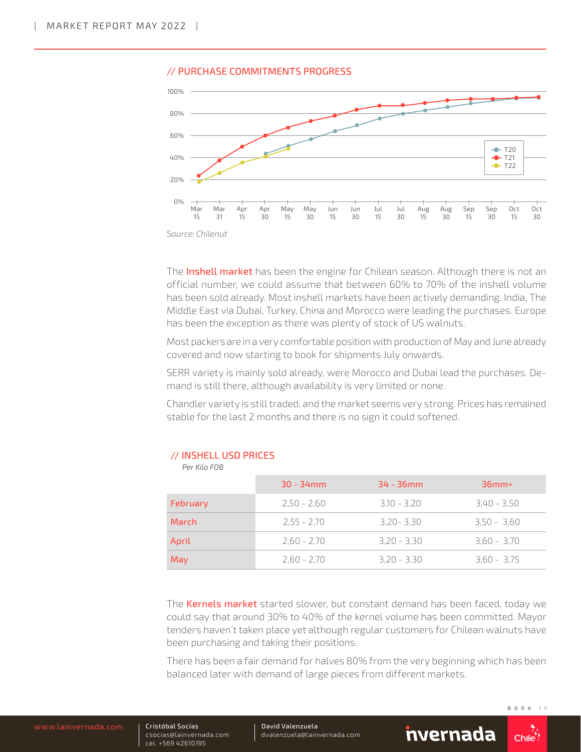

#### // PURCHASE COMMITMENTS PROGRESS

The Inshell market has been the engine for Chilean season. Although there is not an official number, we could assume that between 60% to 70% of the inshell volume has been sold already. Most inshell markets have been actively demanding. India, The Middle East via Dubai, Turkey, China and Morocco were leading the purchases. Europe has been the exception as there was plenty of stock of US walnuts.

Most packers are in a very comfortable position with production of May and June already covered and now starting to book for shipments July onwards.

SERR variety is mainly sold already, were Morocco and Dubai lead the purchases. Demand is still there, although availability is very limited or none.

Chandler variety is still traded, and the market seems very strong. Prices has remained stable for the last 2 months and there is no sign it could softened.

|          | $30 - 34$ mm  | $34 - 36$ mm  | $36mm+$       |
|----------|---------------|---------------|---------------|
| February | $2,50 - 2,60$ | $3,10 - 3,20$ | $3,40 - 3,50$ |
| March    | $2,55 - 2,70$ | $3,20 - 3,30$ | $3.50 - 3.60$ |
| April    | $2.60 - 2.70$ | $3.20 - 3.30$ | $3,60 - 3,70$ |
| May      | $2.60 - 2.70$ | $3,20 - 3,30$ | $3,60 - 3,75$ |

### // INSHELL USD PRICES

 *Per Kilo FOB*

The **Kernels market** started slower, but constant demand has been faced, today we could say that around 30% to 40% of the kernel volume has been committed. Mayor tenders haven´t taken place yet although regular customers for Chilean walnuts have been purchasing and taking their positions.

There has been a fair demand for halves 80% from the very beginning which has been balanced later with demand of large pieces from different markets.

Cristóbal Socías csocias@lainvernada.com cel. +569 42610195

David Valenzuela dvalenzuela@lainvernada.com



*Source: Chilenut*